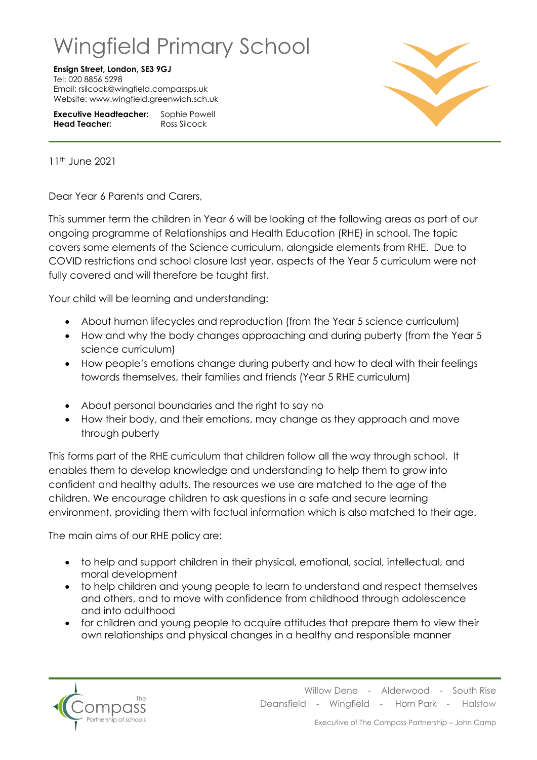## Wingfield Primary School

## **Ensign Street, London, SE3 9GJ**

Tel: 020 8856 5298 Email: rsilcock@wingfield.compassps.uk Website: www.wingfield.greenwich.sch.uk

**Executive Headteacher:** Sophie Powell **Head Teacher:** Ross Silcock



11th June 2021

Dear Year 6 Parents and Carers,

This summer term the children in Year 6 will be looking at the following areas as part of our ongoing programme of Relationships and Health Education (RHE) in school. The topic covers some elements of the Science curriculum, alongside elements from RHE. Due to COVID restrictions and school closure last year, aspects of the Year 5 curriculum were not fully covered and will therefore be taught first.

Your child will be learning and understanding:

- About human lifecycles and reproduction (from the Year 5 science curriculum)
- How and why the body changes approaching and during puberty (from the Year 5 science curriculum)
- How people's emotions change during puberty and how to deal with their feelings towards themselves, their families and friends (Year 5 RHE curriculum)
- About personal boundaries and the right to say no
- How their body, and their emotions, may change as they approach and move through puberty

This forms part of the RHE curriculum that children follow all the way through school. It enables them to develop knowledge and understanding to help them to grow into confident and healthy adults. The resources we use are matched to the age of the children. We encourage children to ask questions in a safe and secure learning environment, providing them with factual information which is also matched to their age.

The main aims of our RHE policy are:

- to help and support children in their physical, emotional, social, intellectual, and moral development
- to help children and young people to learn to understand and respect themselves and others, and to move with confidence from childhood through adolescence and into adulthood
- for children and young people to acquire attitudes that prepare them to view their own relationships and physical changes in a healthy and responsible manner